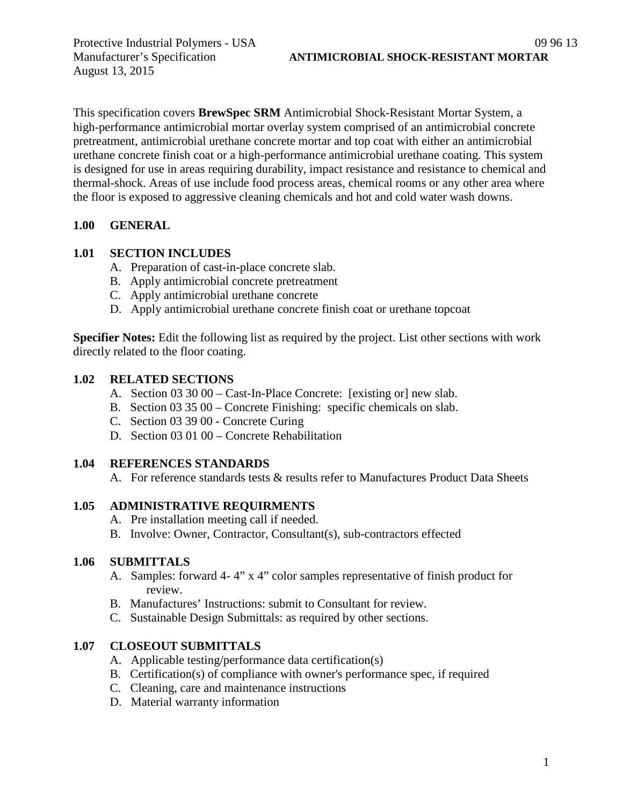August 13, 2015

This specification covers **BrewSpec SRM** Antimicrobial Shock-Resistant Mortar System, a high-performance antimicrobial mortar overlay system comprised of an antimicrobial concrete pretreatment, antimicrobial urethane concrete mortar and top coat with either an antimicrobial urethane concrete finish coat or a high-performance antimicrobial urethane coating. This system is designed for use in areas requiring durability, impact resistance and resistance to chemical and thermal-shock. Areas of use include food process areas, chemical rooms or any other area where the floor is exposed to aggressive cleaning chemicals and hot and cold water wash downs.

## **1.00 GENERAL**

## **1.01 SECTION INCLUDES**

- A. Preparation of cast-in-place concrete slab.
- B. Apply antimicrobial concrete pretreatment
- C. Apply antimicrobial urethane concrete
- D. Apply antimicrobial urethane concrete finish coat or urethane topcoat

**Specifier Notes:** Edit the following list as required by the project. List other sections with work directly related to the floor coating.

## **1.02 RELATED SECTIONS**

- A. Section 03 30 00 Cast-In-Place Concrete: [existing or] new slab.
- B. Section 03 35 00 Concrete Finishing: specific chemicals on slab.
- C. Section 03 39 00 Concrete Curing
- D. Section 03 01 00 Concrete Rehabilitation

## **1.04 REFERENCES STANDARDS**

A. For reference standards tests & results refer to Manufactures Product Data Sheets

## **1.05 ADMINISTRATIVE REQUIRMENTS**

- A. Pre installation meeting call if needed.
- B. Involve: Owner, Contractor, Consultant(s), sub-contractors effected

## **1.06 SUBMITTALS**

- A. Samples: forward 4- 4" x 4" color samples representative of finish product for review.
- B. Manufactures' Instructions: submit to Consultant for review.
- C. Sustainable Design Submittals: as required by other sections.

## **1.07 CLOSEOUT SUBMITTALS**

- A. Applicable testing/performance data certification(s)
- B. Certification(s) of compliance with owner's performance spec, if required
- C. Cleaning, care and maintenance instructions
- D. Material warranty information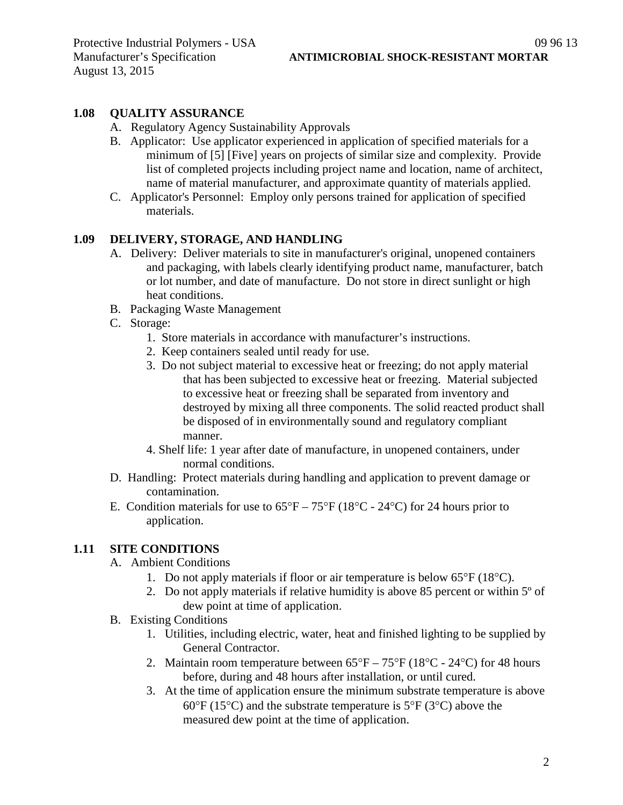#### **1.08 QUALITY ASSURANCE**

- A. Regulatory Agency Sustainability Approvals
- B. Applicator: Use applicator experienced in application of specified materials for a minimum of [5] [Five] years on projects of similar size and complexity. Provide list of completed projects including project name and location, name of architect, name of material manufacturer, and approximate quantity of materials applied.
- C. Applicator's Personnel: Employ only persons trained for application of specified materials.

#### **1.09 DELIVERY, STORAGE, AND HANDLING**

- A. Delivery: Deliver materials to site in manufacturer's original, unopened containers and packaging, with labels clearly identifying product name, manufacturer, batch or lot number, and date of manufacture. Do not store in direct sunlight or high heat conditions.
- B. Packaging Waste Management
- C. Storage:
	- 1. Store materials in accordance with manufacturer's instructions.
	- 2. Keep containers sealed until ready for use.
	- 3. Do not subject material to excessive heat or freezing; do not apply material that has been subjected to excessive heat or freezing. Material subjected to excessive heat or freezing shall be separated from inventory and destroyed by mixing all three components. The solid reacted product shall be disposed of in environmentally sound and regulatory compliant manner.
	- 4. Shelf life: 1 year after date of manufacture, in unopened containers, under normal conditions.
- D. Handling: Protect materials during handling and application to prevent damage or contamination.
- E. Condition materials for use to  $65^{\circ}F 75^{\circ}F (18^{\circ}C 24^{\circ}C)$  for 24 hours prior to application.

#### **1.11 SITE CONDITIONS**

- A. Ambient Conditions
	- 1. Do not apply materials if floor or air temperature is below 65°F (18°C).
	- 2. Do not apply materials if relative humidity is above 85 percent or within 5º of dew point at time of application.
- B. Existing Conditions
	- 1. Utilities, including electric, water, heat and finished lighting to be supplied by General Contractor.
	- 2. Maintain room temperature between  $65^{\circ}F 75^{\circ}F (18^{\circ}C 24^{\circ}C)$  for 48 hours before, during and 48 hours after installation, or until cured.
	- 3. At the time of application ensure the minimum substrate temperature is above 60 $\degree$ F (15 $\degree$ C) and the substrate temperature is 5 $\degree$ F (3 $\degree$ C) above the measured dew point at the time of application.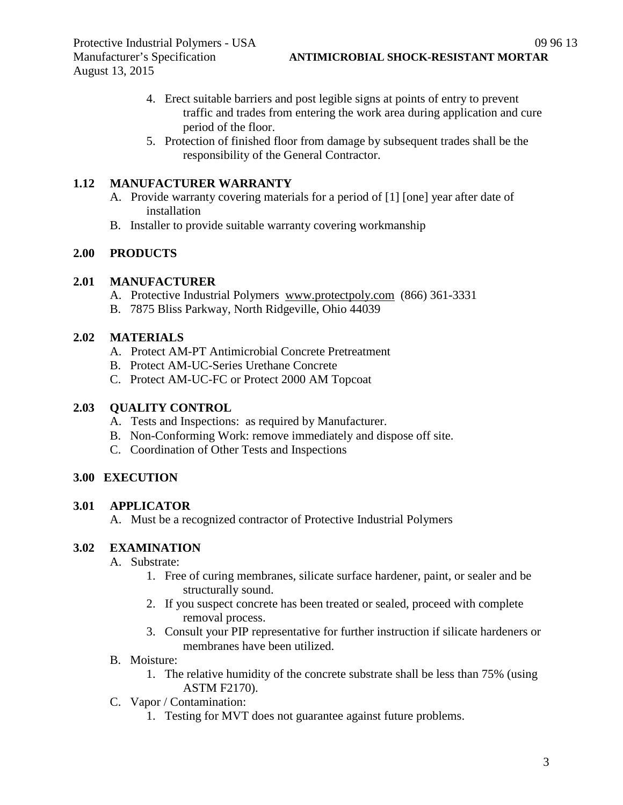- 4. Erect suitable barriers and post legible signs at points of entry to prevent traffic and trades from entering the work area during application and cure period of the floor.
- 5. Protection of finished floor from damage by subsequent trades shall be the responsibility of the General Contractor.

## **1.12 MANUFACTURER WARRANTY**

- A. Provide warranty covering materials for a period of [1] [one] year after date of installation
- B. Installer to provide suitable warranty covering workmanship

# **2.00 PRODUCTS**

## **2.01 MANUFACTURER**

- A. Protective Industrial Polymers [www.protectpoly.com](http://www.protectpoly.com/) (866) 361-3331
- B. 7875 Bliss Parkway, North Ridgeville, Ohio 44039

## **2.02 MATERIALS**

- A. Protect AM-PT Antimicrobial Concrete Pretreatment
- B. Protect AM-UC-Series Urethane Concrete
- C. Protect AM-UC-FC or Protect 2000 AM Topcoat

## **2.03 QUALITY CONTROL**

- A. Tests and Inspections: as required by Manufacturer.
- B. Non-Conforming Work: remove immediately and dispose off site.
- C. Coordination of Other Tests and Inspections

## **3.00 EXECUTION**

## **3.01 APPLICATOR**

A. Must be a recognized contractor of Protective Industrial Polymers

## **3.02 EXAMINATION**

- A. Substrate:
	- 1. Free of curing membranes, silicate surface hardener, paint, or sealer and be structurally sound.
	- 2. If you suspect concrete has been treated or sealed, proceed with complete removal process.
	- 3. Consult your PIP representative for further instruction if silicate hardeners or membranes have been utilized.
- B. Moisture:
	- 1. The relative humidity of the concrete substrate shall be less than 75% (using ASTM F2170).
- C. Vapor / Contamination:
	- 1. Testing for MVT does not guarantee against future problems.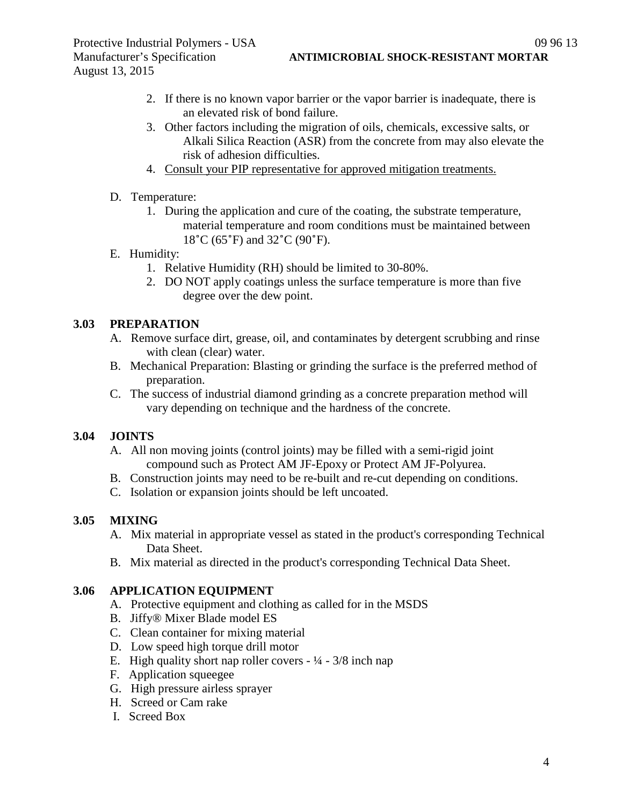- 2. If there is no known vapor barrier or the vapor barrier is inadequate, there is
- an elevated risk of bond failure.
- 3. Other factors including the migration of oils, chemicals, excessive salts, or Alkali Silica Reaction (ASR) from the concrete from may also elevate the risk of adhesion difficulties.
- 4. Consult your PIP representative for approved mitigation treatments.
- D. Temperature:
	- 1. During the application and cure of the coating, the substrate temperature, material temperature and room conditions must be maintained between 18˚C (65˚F) and 32˚C (90˚F).
- E. Humidity:
	- 1. Relative Humidity (RH) should be limited to 30-80%.
	- 2. DO NOT apply coatings unless the surface temperature is more than five degree over the dew point.

#### **3.03 PREPARATION**

- A. Remove surface dirt, grease, oil, and contaminates by detergent scrubbing and rinse with clean (clear) water.
- B. Mechanical Preparation: Blasting or grinding the surface is the preferred method of preparation.
- C. The success of industrial diamond grinding as a concrete preparation method will vary depending on technique and the hardness of the concrete.

## **3.04 JOINTS**

- A. All non moving joints (control joints) may be filled with a semi-rigid joint compound such as Protect AM JF-Epoxy or Protect AM JF-Polyurea.
- B. Construction joints may need to be re-built and re-cut depending on conditions.
- C. Isolation or expansion joints should be left uncoated.

## **3.05 MIXING**

- A. Mix material in appropriate vessel as stated in the product's corresponding Technical Data Sheet.
- B. Mix material as directed in the product's corresponding Technical Data Sheet.

#### **3.06 APPLICATION EQUIPMENT**

- A. Protective equipment and clothing as called for in the MSDS
- B. Jiffy® Mixer Blade model ES
- C. Clean container for mixing material
- D. Low speed high torque drill motor
- E. High quality short nap roller covers  $\frac{1}{4} \frac{3}{8}$  inch nap
- F. Application squeegee
- G. High pressure airless sprayer
- H. Screed or Cam rake
- I. Screed Box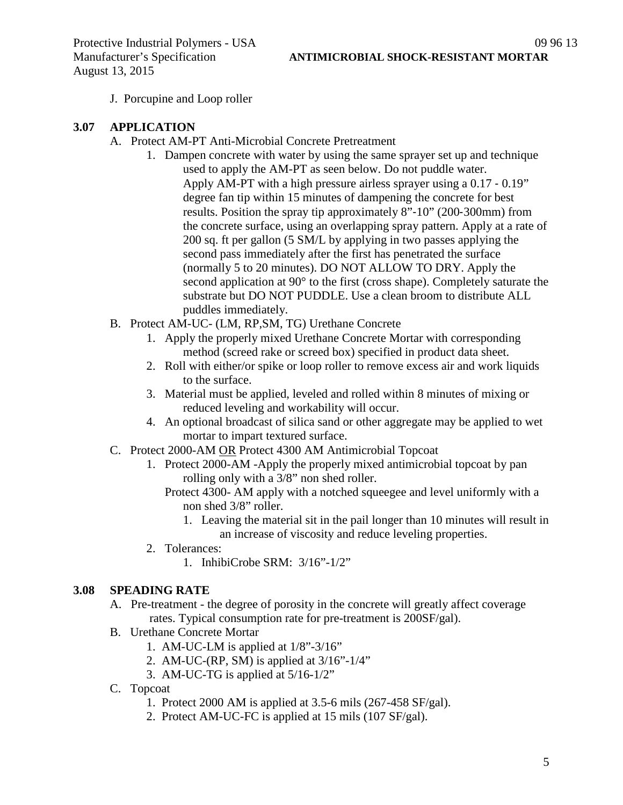J. Porcupine and Loop roller

#### **3.07 APPLICATION**

- A. Protect AM-PT Anti-Microbial Concrete Pretreatment
	- 1. Dampen concrete with water by using the same sprayer set up and technique used to apply the AM-PT as seen below. Do not puddle water. Apply AM-PT with a high pressure airless sprayer using a 0.17 ‐ 0.19" degree fan tip within 15 minutes of dampening the concrete for best results. Position the spray tip approximately 8"‐10" (200‐300mm) from the concrete surface, using an overlapping spray pattern. Apply at a rate of 200 sq. ft per gallon (5 SM/L by applying in two passes applying the second pass immediately after the first has penetrated the surface (normally 5 to 20 minutes). DO NOT ALLOW TO DRY. Apply the second application at 90° to the first (cross shape). Completely saturate the substrate but DO NOT PUDDLE. Use a clean broom to distribute ALL puddles immediately.
- B. Protect AM-UC- (LM, RP,SM, TG) Urethane Concrete
	- 1. Apply the properly mixed Urethane Concrete Mortar with corresponding method (screed rake or screed box) specified in product data sheet.
	- 2. Roll with either/or spike or loop roller to remove excess air and work liquids to the surface.
	- 3. Material must be applied, leveled and rolled within 8 minutes of mixing or reduced leveling and workability will occur.
	- 4. An optional broadcast of silica sand or other aggregate may be applied to wet mortar to impart textured surface.
- C. Protect 2000-AM OR Protect 4300 AM Antimicrobial Topcoat
	- 1. Protect 2000-AM -Apply the properly mixed antimicrobial topcoat by pan rolling only with a 3/8" non shed roller.
		- Protect 4300- AM apply with a notched squeegee and level uniformly with a non shed 3/8" roller.
			- 1. Leaving the material sit in the pail longer than 10 minutes will result in an increase of viscosity and reduce leveling properties.
	- 2. Tolerances:
		- 1. InhibiCrobe SRM: 3/16"-1/2"

#### **3.08 SPEADING RATE**

- A. Pre-treatment the degree of porosity in the concrete will greatly affect coverage rates. Typical consumption rate for pre-treatment is 200SF/gal).
- B. Urethane Concrete Mortar
	- 1. AM-UC-LM is applied at 1/8"-3/16"
	- 2. AM-UC-(RP, SM) is applied at 3/16"-1/4"
	- 3. AM-UC-TG is applied at 5/16-1/2"
- C. Topcoat
	- 1. Protect 2000 AM is applied at 3.5-6 mils (267-458 SF/gal).
	- 2. Protect AM-UC-FC is applied at 15 mils (107 SF/gal).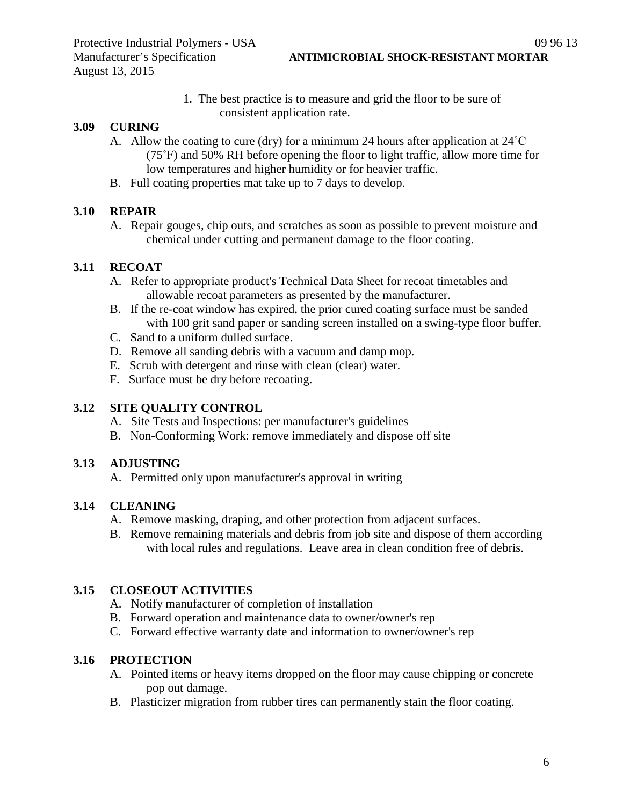1. The best practice is to measure and grid the floor to be sure of consistent application rate.

#### **3.09 CURING**

- A. Allow the coating to cure (dry) for a minimum 24 hours after application at 24˚C (75˚F) and 50% RH before opening the floor to light traffic, allow more time for low temperatures and higher humidity or for heavier traffic.
- B. Full coating properties mat take up to 7 days to develop.

#### **3.10 REPAIR**

A. Repair gouges, chip outs, and scratches as soon as possible to prevent moisture and chemical under cutting and permanent damage to the floor coating.

#### **3.11 RECOAT**

- A. Refer to appropriate product's Technical Data Sheet for recoat timetables and allowable recoat parameters as presented by the manufacturer.
- B. If the re-coat window has expired, the prior cured coating surface must be sanded with 100 grit sand paper or sanding screen installed on a swing-type floor buffer.
- C. Sand to a uniform dulled surface.
- D. Remove all sanding debris with a vacuum and damp mop.
- E. Scrub with detergent and rinse with clean (clear) water.
- F. Surface must be dry before recoating.

## **3.12 SITE QUALITY CONTROL**

- A. Site Tests and Inspections: per manufacturer's guidelines
- B. Non-Conforming Work: remove immediately and dispose off site

## **3.13 ADJUSTING**

A. Permitted only upon manufacturer's approval in writing

## **3.14 CLEANING**

- A. Remove masking, draping, and other protection from adjacent surfaces.
- B. Remove remaining materials and debris from job site and dispose of them according with local rules and regulations. Leave area in clean condition free of debris.

## **3.15 CLOSEOUT ACTIVITIES**

- A. Notify manufacturer of completion of installation
- B. Forward operation and maintenance data to owner/owner's rep
- C. Forward effective warranty date and information to owner/owner's rep

# **3.16 PROTECTION**

- A. Pointed items or heavy items dropped on the floor may cause chipping or concrete pop out damage.
- B. Plasticizer migration from rubber tires can permanently stain the floor coating.